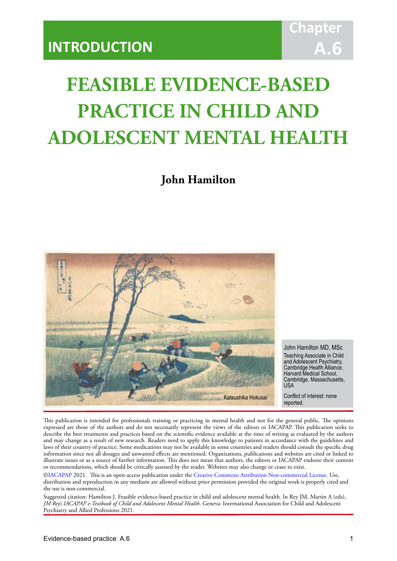# **Chapter A.6**

# **FEASIBLE EVIDENCE-BASED PRACTICE IN CHILD AND ADOLESCENT MENTAL HEALTH**

IACAPAP Textbook of Child and Adolescent Mental Health

**John Hamilton**



John Hamilton MD, MSc Teaching Associate in Child and Adolescent Psychiatry, Cambridge Health Alliance, Harvard Medical School, Cambridge, Massachusetts,  $11S<sub>A</sub>$ 

Conflict of interest: none reported.

This publication is intended for professionals training or practicing in mental health and not for the general public. The opinions expressed are those of the authors and do not necessarily represent the views of the editors or IACAPAP. This publication seeks to describe the best treatments and practices based on the scientific evidence available at the time of writing as evaluated by the authors and may change as a result of new research. Readers need to apply this knowledge to patients in accordance with the guidelines and laws of their country of practice. Some medications may not be available in some countries and readers should consult the specific drug information since not all dosages and unwanted effects are mentioned. Organizations, publications and websites are cited or linked to illustrate issues or as a source of further information. This does not mean that authors, the editors or IACAPAP endorse their content or recommendations, which should be critically assessed by the reader. Websites may also change or cease to exist.

[©IACAPAP](http://iacapap.org) 2021. This is an open-access publication under the [Creative Commons Attribution Non-commercial License](http://creativecommons.org). Use, distribution and reproduction in any medium are allowed without prior permission provided the original work is properly cited and the use is non-commercial.

Suggested citation: Hamilton J. Feasible evidence-based practice in child and adolescent mental health. In Rey JM, Martin A (eds), *JM Rey's IACAPAP e-Textbook of Child and Adolescent Mental Health*. Geneva: International Association for Child and Adolescent Psychiatry and Allied Professions 2021.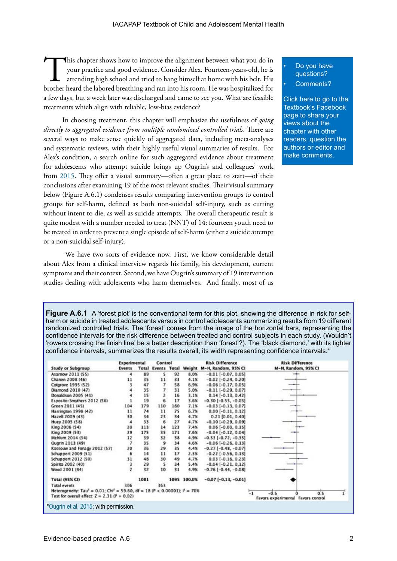This chapter shows how to improve the alignment between what you do in your practice and good evidence. Consider Alex. Fourteen-years-old, he is attending high school and tried to hang himself at home with his belt. His brother heard the labored breathing and ran into his room. He was hospitalized for a few days, but a week later was discharged and came to see you. What are feasible treatments which align with reliable, low-bias evidence?

In choosing treatment, this chapter will emphasize the usefulness of *going directly to aggregated evidence from multiple randomized controlled trials*. There are several ways to make sense quickly of aggregated data, including meta-analyses and systematic reviews, with their highly useful visual summaries of results. For Alex's condition, a search online for such aggregated evidence about treatment for adolescents who attempt suicide brings up Ougrin's and colleagues' work from [2015.](https://fhs.mcmaster.ca/pediatrics/documents/Therapeuticinterventionsforsuicideattemptsandself-harminadolescents.pdf) They offer a visual summary—often a great place to start—of their conclusions after examining 19 of the most relevant studies. Their visual summary below (Figure A.6.1) condenses results comparing intervention groups to control groups for self-harm, defined as both non-suicidal self-injury, such as cutting without intent to die, as well as suicide attempts. The overall therapeutic result is quite modest with a number needed to treat (NNT) of 14: fourteen youth need to be treated in order to prevent a single episode of self-harm (either a suicide attempt or a non-suicidal self-injury).

 We have two sorts of evidence now. First, we know considerable detail about Alex from a clinical interview regards his family, his development, current symptoms and their context. Second, we have Ougrin's summary of 19 intervention studies dealing with adolescents who harm themselves. And finally, most of us Do you have questions?

Comments?

[Click here to go to the](https://www.facebook.com/pages/IACAPAP-Textbook-of-Child-and-Adolescent-Mental-Health/249690448525378)  Textbook's Facebook page to share your views about the chapter with other readers, question the authors or editor and make comments.

**Figure A.6.1** A 'forest plot' is the conventional term for this plot, showing the difference in risk for selfharm or suicide in treated adolescents versus in control adolescents summarizing results from 19 different randomized controlled trials. The 'forest' comes from the image of the horizontal bars, representing the confidence intervals for the risk difference between treated and control subjects in each study. (Wouldn't 'rowers crossing the finish line' be a better description than 'forest'?). The 'black diamond,' with its tighter confidence intervals, summarizes the results overall, its width representing confidence intervals.\*

|                                                                                                                             | Experimental |      | Control        |     |             | <b>Risk Difference</b>                        | <b>Risk Difference</b>                                      |
|-----------------------------------------------------------------------------------------------------------------------------|--------------|------|----------------|-----|-------------|-----------------------------------------------|-------------------------------------------------------------|
| <b>Study or Subgroup</b>                                                                                                    | Events       |      |                |     |             | Total Events Total Weight M-H, Random, 95% CI | M-H, Random, 95% CI                                         |
| Asarnow 2011 (55)                                                                                                           |              | 89   | s              | 92  | 8.0%        | $-0.01$ $[-0.07, 0.05]$                       |                                                             |
| Chanen 2008 (46)                                                                                                            | 11           | 35   | 11             | 33  | 4.1%        | $-0.02$ [ $-0.24$ , 0.20]                     |                                                             |
| Cotgrove 1995 (52)                                                                                                          | 3            | 47   |                | 58  | 6.9%        | $-0.06$ [ $-0.17, 0.05$ ]                     | --                                                          |
| Diamond 2010 (47)                                                                                                           |              | 35   |                | 31  | 5.0%        | $-0.11[-0.29, 0.07]$                          |                                                             |
| Donaldson 2005 (41)                                                                                                         |              | 15   |                | 16  | 3.1%        | $0.14[-0.13, 0.42]$                           |                                                             |
| Esposito-Smythers 2012 (56)                                                                                                 |              | 19   | 6              | 17  | 3.6%        | $-0.30$ [ $-0.55, -0.05$ ]                    |                                                             |
| Green 2011 (45)                                                                                                             | 104          | 179  | 110            | 180 | 7.1%        | $-0.03$ [ $-0.13$ , 0.07]                     | --                                                          |
| Harrington 1998 (42)                                                                                                        | 11           | 74   | 11             | 75  | 6.7%        | $0.00[-0.11, 0.12]$                           |                                                             |
| Hazell 2009 (43)                                                                                                            | 30           | 34   | 23             | 34  | 4.7%        | $0.21$ [0.01, 0.40]                           |                                                             |
| Huey 2005 (58)                                                                                                              | 4            | 33   | 6              | 27  | 4.7%        | $-0.10[-0.29, 0.09]$                          |                                                             |
| King 2006 (54)                                                                                                              | 20           | 113  | 14             | 123 | 7.4%        | $0.06[-0.03, 0.15]$                           |                                                             |
| King 2009 (53)                                                                                                              | 29           | 175  | 35             | 171 | 7.6%        | $-0.04[-0.12, 0.04]$                          |                                                             |
| Mehlum 2014 (34)                                                                                                            | 12           | 39   | 32             | 38  | 4.9%        | $-0.53[-0.72, -0.35]$                         |                                                             |
| Ougrin 2013 (49)                                                                                                            | 7            | 35   | $\overline{9}$ | 34  | 4.6%        | $-0.06[-0.26, 0.13]$                          |                                                             |
| Rossouw and Fonagy 2012 (\$7)                                                                                               | 20           | 36   | 29             | 35  | 4.4%        | $-0.27[-0.48, -0.07]$                         |                                                             |
| Schuppert 2009 (51)                                                                                                         | 6            | 14   | 11             | 17  | 2.3%        | $-0.22$ [ $-0.56$ , 0.13]                     |                                                             |
| Schuppert 2012 (50)                                                                                                         | 31           | 48   | 30             | 49  | 4.7%        | $0.03[-0.16, 0.23]$                           |                                                             |
| Spirito 2002 (40)                                                                                                           | з            | 29   | 5              | 34  | 5.4%        | $-0.04[-0.21, 0.12]$                          |                                                             |
| Wood 2001 (44)                                                                                                              |              | 32   | 10             | 31  | 4.9%        | $-0.26$ [ $-0.44$ , $-0.08$ ]                 |                                                             |
| Total (95% CI)                                                                                                              |              | 1081 |                |     | 1095 100.0% | $-0.07[-0.13, -0.01]$                         |                                                             |
| <b>Total events</b><br>Heterogeneity: Tau <sup>2</sup> = 0.01; Chi <sup>2</sup> = 59.60, df = 18 (P < 0.00001); $I^2$ = 70% | 306          |      | 363            |     |             |                                               |                                                             |
| Test for overall effect: $Z = 2.31$ (P = 0.02)                                                                              |              |      |                |     |             |                                               | $-0.5$<br>0.5<br>$-1$<br>Favors experimental Favors control |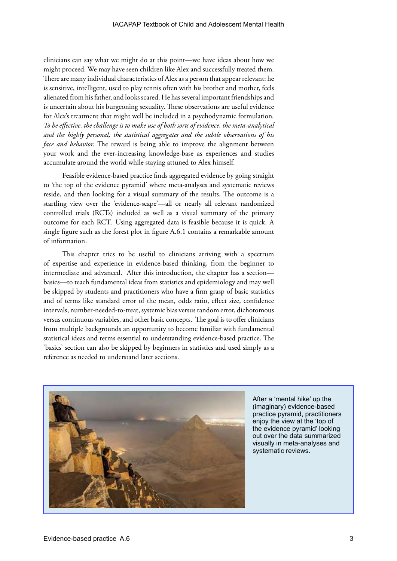clinicians can say what we might do at this point—we have ideas about how we might proceed. We may have seen children like Alex and successfully treated them. There are many individual characteristics of Alex as a person that appear relevant: he is sensitive, intelligent, used to play tennis often with his brother and mother, feels alienated from his father, and looks scared. He has several important friendships and is uncertain about his burgeoning sexuality. These observations are useful evidence for Alex's treatment that might well be included in a psychodynamic formulation*. To be effective, the challenge is to make use of both sorts of evidence, the meta-analytical and the highly personal, the statistical aggregates and the subtle observations of his face and behavior.* The reward is being able to improve the alignment between your work and the ever-increasing knowledge-base as experiences and studies accumulate around the world while staying attuned to Alex himself.

Feasible evidence-based practice finds aggregated evidence by going straight to 'the top of the evidence pyramid' where meta-analyses and systematic reviews reside, and then looking for a visual summary of the results. The outcome is a startling view over the 'evidence-scape'—all or nearly all relevant randomized controlled trials (RCTs) included as well as a visual summary of the primary outcome for each RCT*.* Using aggregated data is feasible because it is quick. A single figure such as the forest plot in figure A.6.1 contains a remarkable amount of information.

This chapter tries to be useful to clinicians arriving with a spectrum of expertise and experience in evidence-based thinking, from the beginner to intermediate and advanced. After this introduction, the chapter has a section basics—to teach fundamental ideas from statistics and epidemiology and may well be skipped by students and practitioners who have a firm grasp of basic statistics and of terms like standard error of the mean, odds ratio, effect size, confidence intervals, number-needed-to-treat, systemic bias versus random error, dichotomous versus continuous variables, and other basic concepts. The goal is to offer clinicians from multiple backgrounds an opportunity to become familiar with fundamental statistical ideas and terms essential to understanding evidence-based practice. The 'basics' section can also be skipped by beginners in statistics and used simply as a reference as needed to understand later sections.



After a 'mental hike' up the (imaginary) evidence-based practice pyramid, practitioners enjoy the view at the 'top of the evidence pyramid' looking out over the data summarized visually in meta-analyses and systematic reviews.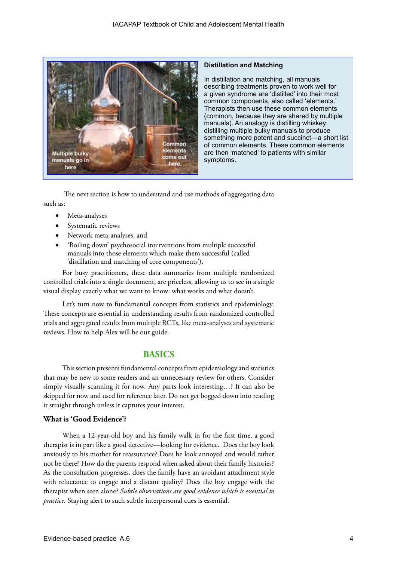

#### **Distillation and Matching**

In distillation and matching, all manuals describing treatments proven to work well for a given syndrome are 'distilled' into their most common components, also called 'elements.' Therapists then use these common elements (common, because they are shared by multiple manuals). An analogy is distilling whiskey: distilling multiple bulky manuals to produce something more potent and succinct—a short list of common elements. These common elements are then 'matched' to patients with similar symptoms.

 The next section is how to understand and use methods of aggregating data such as:

- • Meta-analyses
- Systematic reviews
- Network meta-analyses, and
- 'Boiling down' psychosocial interventions from multiple successful manuals into those elements which make them successful (called 'distillation and matching of core components').

For busy practitioners, these data summaries from multiple randomized controlled trials into a single document, are priceless, allowing us to see in a single visual display exactly what we want to know: what works and what doesn't.

Let's turn now to fundamental concepts from statistics and epidemiology. These concepts are essential in understanding results from randomized controlled trials and aggregated results from multiple RCTs, like meta-analyses and systematic reviews. How to help Alex will be our guide.

# **BASICS**

This section presents fundamental concepts from epidemiology and statistics that may be new to some readers and an unnecessary review for others. Consider simply visually scanning it for now. Any parts look interesting…? It can also be skipped for now and used for reference later. Do not get bogged down into reading it straight through unless it captures your interest.

#### **What is 'Good Evidence'?**

When a 12-year-old boy and his family walk in for the first time, a good therapist is in part like a good detective—looking for evidence. Does the boy look anxiously to his mother for reassurance? Does he look annoyed and would rather not be there? How do the parents respond when asked about their family histories? As the consultation progresses, does the family have an avoidant attachment style with reluctance to engage and a distant quality? Does the boy engage with the therapist when seen alone? *Subtle observations are good evidence which is essential to practice*. Staying alert to such subtle interpersonal cues is essential.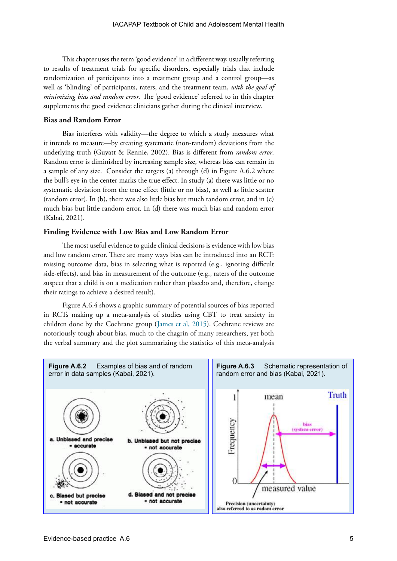This chapter uses the term 'good evidence' in a different way, usually referring to results of treatment trials for specific disorders, especially trials that include randomization of participants into a treatment group and a control group—as well as 'blinding' of participants, raters, and the treatment team, *with the goal of minimizing bias and random error*. The 'good evidence' referred to in this chapter supplements the good evidence clinicians gather during the clinical interview.

#### **Bias and Random Error**

Bias interferes with validity—the degree to which a study measures what it intends to measure—by creating systematic (non-random) deviations from the underlying truth (Guyatt & Rennie, 2002). Bias is different from *random error*. Random error is diminished by increasing sample size, whereas bias can remain in a sample of any size. Consider the targets (a) through (d) in Figure A.6.2 where the bull's eye in the center marks the true effect. In study (a) there was little or no systematic deviation from the true effect (little or no bias), as well as little scatter (random error). In (b), there was also little bias but much random error, and in (c) much bias but little random error. In (d) there was much bias and random error (Kabai, 2021).

#### **Finding Evidence with Low Bias and Low Random Error**

The most useful evidence to guide clinical decisions is evidence with low bias and low random error. There are many ways bias can be introduced into an RCT: missing outcome data, bias in selecting what is reported (e.g., ignoring difficult side-effects), and bias in measurement of the outcome (e.g., raters of the outcome suspect that a child is on a medication rather than placebo and, therefore, change their ratings to achieve a desired result).

Figure A.6.4 shows a graphic summary of potential sources of bias reported in RCTs making up a meta-analysis of studies using CBT to treat anxiety in children done by the Cochrane group (James et al, 2015). Cochrane reviews are notoriously tough about bias, much to the chagrin of many researchers, yet both the verbal summary and the plot summarizing the statistics of this meta-analysis

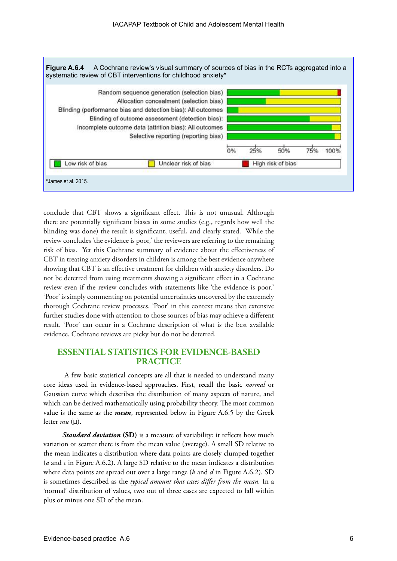

conclude that CBT shows a significant effect. This is not unusual. Although there are potentially significant biases in some studies (e.g., regards how well the blinding was done) the result is significant, useful, and clearly stated. While the review concludes 'the evidence is poor,' the reviewers are referring to the remaining risk of bias. Yet this Cochrane summary of evidence about the effectiveness of CBT in treating anxiety disorders in children is among the best evidence anywhere showing that CBT is an effective treatment for children with anxiety disorders. Do not be deterred from using treatments showing a significant effect in a Cochrane review even if the review concludes with statements like 'the evidence is poor.' 'Poor' is simply commenting on potential uncertainties uncovered by the extremely thorough Cochrane review processes. 'Poor' in this context means that extensive further studies done with attention to those sources of bias may achieve a different result. 'Poor' can occur in a Cochrane description of what is the best available evidence. Cochrane reviews are picky but do not be deterred.

# **ESSENTIAL STATISTICS FOR EVIDENCE-BASED PRACTICE**

A few basic statistical concepts are all that is needed to understand many core ideas used in evidence-based approaches. First, recall the basic *normal* or Gaussian curve which describes the distribution of many aspects of nature, and which can be derived mathematically using probability theory. The most common value is the same as the *mean*, represented below in Figure A.6.5 by the Greek letter  $mu$  ( $\mu$ ).

*Standard deviation* (SD) is a measure of variability: it reflects how much variation or scatter there is from the mean value (average). A small SD relative to the mean indicates a distribution where data points are closely clumped together (*a* and *c* in Figure A.6.2). A large SD relative to the mean indicates a distribution where data points are spread out over a large range (*b* and *d* in Figure A.6.2). SD is sometimes described as the *typical amount that cases differ from the mean.* In a 'normal' distribution of values, two out of three cases are expected to fall within plus or minus one SD of the mean.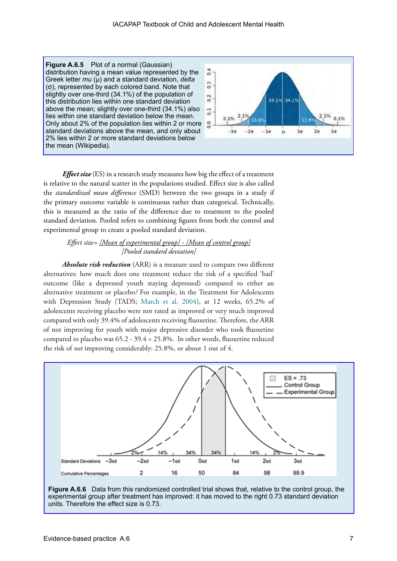**Figure A.6.5** Plot of a normal (Gaussian) distribution having a mean value represented by the Greek letter *mu* (µ) and a standard deviation, *delta* (σ), represented by each colored band. Note that slightly over one-third (34.1%) of the population of this distribution lies within one standard deviation above the mean; slightly over one-third (34.1%) also lies within one standard deviation below the mean. Only about 2% of the population lies within 2 or more standard deviations above the mean, and only about 2% lies within 2 or more standard deviations below the mean (Wikipedia).



*Effect size* (ES) in a research study measures how big the effect of a treatment is relative to the natural scatter in the populations studied. Effect size is also called the *standardized mean difference* (SMD) between the two groups in a study if the primary outcome variable is continuous rather than categorical. Technically, this is measured as the ratio of the difference due to treatment to the pooled standard deviation. Pooled refers to combining figures from both the control and experimental group to create a pooled standard deviation.

#### *Effect size= [Mean of experimental group] - [Mean of control group] [Pooled standard deviation]*

*Absolute risk reduction* (ARR) is a measure used to compare two different alternatives: how much does one treatment reduce the risk of a specified 'bad' outcome (like a depressed youth staying depressed) compared to either an alternative treatment or placebo*?* For example, in the Treatment for Adolescents with Depression Study (TADS; [March et al, 2004\)](https://jamanetwork.com/journals/jama/fullarticle/199274), at 12 weeks, 65.2% of adolescents receiving placebo were not rated as improved or very much improved compared with only 39.4% of adolescents receiving fluoxetine. Therefore, the ARR of not improving for youth with major depressive disorder who took fluoxetine compared to placebo was 65.2 - 39.4 = 25.8%. In other words, fluoxetine reduced the risk of *not* improving considerably: 25.8%, or about 1 out of 4.



**Figure A.6.6** Data from this randomized controlled trial shows that, relative to the control group, the experimental group after treatment has improved: it has moved to the right 0.73 standard deviation units. Therefore the effect size is 0.73.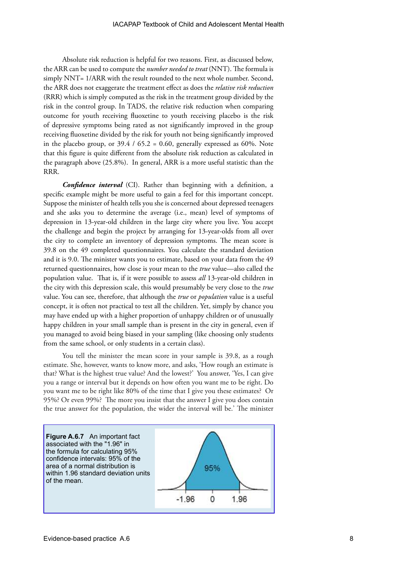Absolute risk reduction is helpful for two reasons. First, as discussed below, the ARR can be used to compute the *number needed to treat* (NNT). The formula is simply NNT= 1/ARR with the result rounded to the next whole number. Second, the ARR does not exaggerate the treatment effect as does the *relative risk reduction* (RRR) which is simply computed as the risk in the treatment group divided by the risk in the control group. In TADS, the relative risk reduction when comparing outcome for youth receiving fluoxetine to youth receiving placebo is the risk of depressive symptoms being rated as not significantly improved in the group receiving fluoxetine divided by the risk for youth not being significantly improved in the placebo group, or  $39.4 / 65.2 = 0.60$ , generally expressed as 60%. Note that this figure is quite different from the absolute risk reduction as calculated in the paragraph above (25.8%). In general, ARR is a more useful statistic than the RRR.

*Confidence interval* (CI). Rather than beginning with a definition, a specific example might be more useful to gain a feel for this important concept. Suppose the minister of health tells you she is concerned about depressed teenagers and she asks you to determine the average (i.e., mean) level of symptoms of depression in 13-year-old children in the large city where you live. You accept the challenge and begin the project by arranging for 13-year-olds from all over the city to complete an inventory of depression symptoms. The mean score is 39.8 on the 49 completed questionnaires. You calculate the standard deviation and it is 9.0. The minister wants you to estimate, based on your data from the 49 returned questionnaires, how close is your mean to the *true* value—also called the population value. That is, if it were possible to assess *all* 13-year-old children in the city with this depression scale, this would presumably be very close to the *true* value. You can see, therefore, that although the *true* or *population* value is a useful concept, it is often not practical to test all the children. Yet, simply by chance you may have ended up with a higher proportion of unhappy children or of unusually happy children in your small sample than is present in the city in general, even if you managed to avoid being biased in your sampling (like choosing only students from the same school, or only students in a certain class).

You tell the minister the mean score in your sample is 39.8, as a rough estimate. She, however, wants to know more, and asks, 'How rough an estimate is that? What is the highest true value? And the lowest?' You answer, 'Yes, I can give you a range or interval but it depends on how often you want me to be right. Do you want me to be right like 80% of the time that I give you these estimates? Or 95%? Or even 99%? The more you insist that the answer I give you does contain the true answer for the population, the wider the interval will be.' The minister

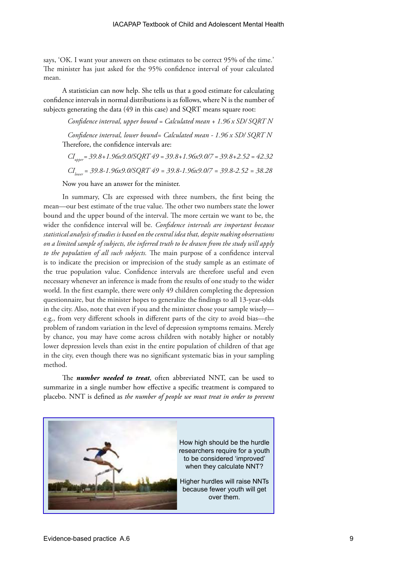says, 'OK. I want your answers on these estimates to be correct 95% of the time.' The minister has just asked for the 95% confidence interval of your calculated mean.

A statistician can now help. She tells us that a good estimate for calculating confidence intervals in normal distributions is as follows, where N is the number of subjects generating the data (49 in this case) and SQRT means square root:

*Confidence interval, upper bound = Calculated mean + 1.96 x SD/ SQRT N*

*Confidence interval, lower bound= Calculated mean - 1.96 x SD/ SQRT N* Therefore, the confidence intervals are:

*CI upper= 39.8+1.96x9.0/SQRT 49 = 39.8+1.96x9.0/7 = 39.8+2.52 = 42.32 CIlower = 39.8-1.96x9.0/SQRT 49 = 39.8-1.96x9.0/7 = 39.8-2.52 = 38.28*

Now you have an answer for the minister.

In summary, CIs are expressed with three numbers, the first being the mean—our best estimate of the true value. The other two numbers state the lower bound and the upper bound of the interval. The more certain we want to be, the wider the confidence interval will be. *Confidence intervals are important because statistical analysis of studies is based on the central idea that, despite making observations on a limited sample of subjects, the inferred truth to be drawn from the study will apply to the population of all such subjects.* The main purpose of a confidence interval is to indicate the precision or imprecision of the study sample as an estimate of the true population value. Confidence intervals are therefore useful and even necessary whenever an inference is made from the results of one study to the wider world. In the first example, there were only 49 children completing the depression questionnaire, but the minister hopes to generalize the findings to all 13-year-olds in the city. Also, note that even if you and the minister chose your sample wisely e.g., from very different schools in different parts of the city to avoid bias—the problem of random variation in the level of depression symptoms remains. Merely by chance, you may have come across children with notably higher or notably lower depression levels than exist in the entire population of children of that age in the city, even though there was no significant systematic bias in your sampling method.

The *number needed to treat*, often abbreviated NNT, can be used to summarize in a single number how effective a specific treatment is compared to placebo. NNT is defined as *the number of people we must treat in order to prevent* 

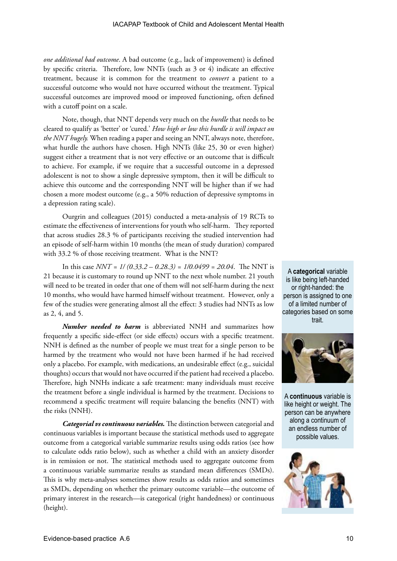*one additional bad outcome*. A bad outcome (e.g., lack of improvement) is defined by specific criteria. Therefore, low NNTs (such as 3 or 4) indicate an effective treatment, because it is common for the treatment to *convert* a patient to a successful outcome who would not have occurred without the treatment. Typical successful outcomes are improved mood or improved functioning, often defined with a cutoff point on a scale.

Note, though, that NNT depends very much on the *hurdle* that needs to be cleared to qualify as 'better' or 'cured.' *How high or low this hurdle is will impact on the NNT hugely.* When reading a paper and seeing an NNT, always note, therefore, what hurdle the authors have chosen. High NNTs (like 25, 30 or even higher) suggest either a treatment that is not very effective or an outcome that is difficult to achieve. For example, if we require that a successful outcome in a depressed adolescent is not to show a single depressive symptom, then it will be difficult to achieve this outcome and the corresponding NNT will be higher than if we had chosen a more modest outcome (e.g., a 50% reduction of depressive symptoms in a depression rating scale).

Ourgrin and colleagues (2015) conducted a meta-analysis of 19 RCTs to estimate the effectiveness of interventions for youth who self-harm. They reported that across studies 28.3 % of participants receiving the studied intervention had an episode of self-harm within 10 months (the mean of study duration) compared with 33.2 % of those receiving treatment. What is the NNT?

In this case *NNT = 1/ (0.33.2 – 0.28.3) = 1/0.0499 = 20.04*. The NNT is 21 because it is customary to round up NNT to the next whole number. 21 youth will need to be treated in order that one of them will not self-harm during the next 10 months, who would have harmed himself without treatment. However, only a few of the studies were generating almost all the effect: 3 studies had NNTs as low as 2, 4, and 5.

*Number needed to harm* is abbreviated NNH and summarizes how frequently a specific side-effect (or side effects) occurs with a specific treatment. NNH is defined as the number of people we must treat for a single person to be harmed by the treatment who would not have been harmed if he had received only a placebo. For example, with medications, an undesirable effect (e.g., suicidal thoughts) occurs that would not have occurred if the patient had received a placebo. Therefore, high NNHs indicate a safe treatment: many individuals must receive the treatment before a single individual is harmed by the treatment. Decisions to recommend a specific treatment will require balancing the benefits (NNT) with the risks (NNH).

*Categorial vs continuous variables.* The distinction between categorial and continuous variables is important because the statistical methods used to aggregate outcome from a categorical variable summarize results using odds ratios (see how to calculate odds ratio below), such as whether a child with an anxiety disorder is in remission or not. The statistical methods used to aggregate outcome from a continuous variable summarize results as standard mean differences (SMDs). This is why meta-analyses sometimes show results as odds ratios and sometimes as SMDs, depending on whether the primary outcome variable—the outcome of primary interest in the research—is categorical (right handedness) or continuous (height).

A **categorical** variable is like being left-handed or right-handed: the person is assigned to one of a limited number of categories based on some trait.



A **continuous** variable is like height or weight. The person can be anywhere along a continuum of an endless number of possible values.

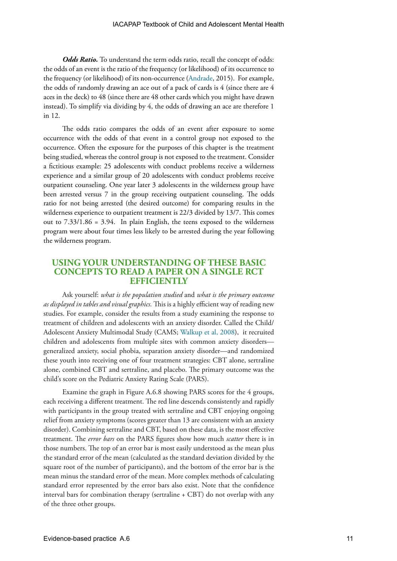**Odds Ratio.** To understand the term odds ratio, recall the concept of odds: the odds of an event is the ratio of the frequency (or likelihood) of its occurrence to the frequency (or likelihood) of its non-occurrence ([Andrade,](https://www.psychiatrist.com/JCP/article/Pages/understanding-relative-risk-odds-ratio-related-terms.aspx) 2015). For example, the odds of randomly drawing an ace out of a pack of cards is 4 (since there are 4 aces in the deck) to 48 (since there are 48 other cards which you might have drawn instead). To simplify via dividing by 4, the odds of drawing an ace are therefore 1 in 12.

The odds ratio compares the odds of an event after exposure to some occurrence with the odds of that event in a control group not exposed to the occurrence. Often the exposure for the purposes of this chapter is the treatment being studied, whereas the control group is not exposed to the treatment. Consider a fictitious example: 25 adolescents with conduct problems receive a wilderness experience and a similar group of 20 adolescents with conduct problems receive outpatient counseling. One year later 3 adolescents in the wilderness group have been arrested versus 7 in the group receiving outpatient counseling. The odds ratio for not being arrested (the desired outcome) for comparing results in the wilderness experience to outpatient treatment is 22/3 divided by 13/7. This comes out to 7.33/1.86 = 3.94. In plain English, the teens exposed to the wilderness program were about four times less likely to be arrested during the year following the wilderness program.

# **USING YOUR UNDERSTANDING OF THESE BASIC CONCEPTS TO READ A PAPER ON A SINGLE RCT EFFICIENTLY**

Ask yourself: *what is the population studied* and *what is the primary outcome as displayed in tables and visual graphics.* This is a highly efficient way of reading new studies. For example, consider the results from a study examining the response to treatment of children and adolescents with an anxiety disorder. Called the Child/ Adolescent Anxiety Multimodal Study (CAMS; [Walkup et al, 2008\)](https://www.nejm.org/doi/full/10.1056/NEJMoa0804633), it recruited children and adolescents from multiple sites with common anxiety disorders generalized anxiety, social phobia, separation anxiety disorder—and randomized these youth into receiving one of four treatment strategies: CBT alone, sertraline alone, combined CBT and sertraline, and placebo. The primary outcome was the child's score on the Pediatric Anxiety Rating Scale (PARS).

Examine the graph in Figure A.6.8 showing PARS scores for the 4 groups, each receiving a different treatment. The red line descends consistently and rapidly with participants in the group treated with sertraline and CBT enjoying ongoing relief from anxiety symptoms (scores greater than 13 are consistent with an anxiety disorder). Combining sertraline and CBT, based on these data, is the most effective treatment. The *error bars* on the PARS figures show how much *scatter* there is in those numbers. The top of an error bar is most easily understood as the mean plus the standard error of the mean (calculated as the standard deviation divided by the square root of the number of participants), and the bottom of the error bar is the mean minus the standard error of the mean. More complex methods of calculating standard error represented by the error bars also exist. Note that the confidence interval bars for combination therapy (sertraline + CBT) do not overlap with any of the three other groups.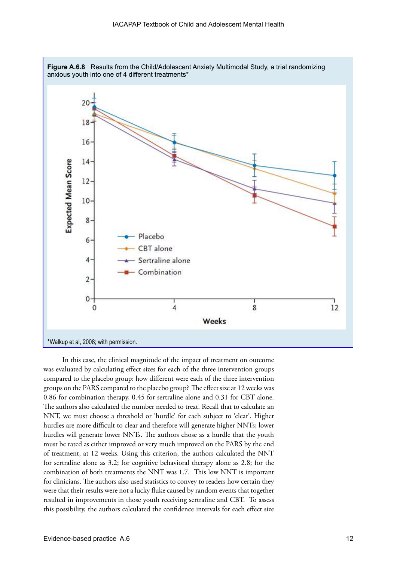

In this case, the clinical magnitude of the impact of treatment on outcome was evaluated by calculating effect sizes for each of the three intervention groups compared to the placebo group: how different were each of the three intervention groups on the PARS compared to the placebo group? The effect size at 12 weeks was 0.86 for combination therapy, 0.45 for sertraline alone and 0.31 for CBT alone. The authors also calculated the number needed to treat. Recall that to calculate an NNT, we must choose a threshold or 'hurdle' for each subject to 'clear'. Higher hurdles are more difficult to clear and therefore will generate higher NNTs; lower hurdles will generate lower NNTs. The authors chose as a hurdle that the youth must be rated as either improved or very much improved on the PARS by the end of treatment, at 12 weeks. Using this criterion, the authors calculated the NNT for sertraline alone as 3.2; for cognitive behavioral therapy alone as 2.8; for the combination of both treatments the NNT was 1.7. This low NNT is important for clinicians. The authors also used statistics to convey to readers how certain they were that their results were not a lucky fluke caused by random events that together resulted in improvements in those youth receiving sertraline and CBT. To assess this possibility, the authors calculated the confidence intervals for each effect size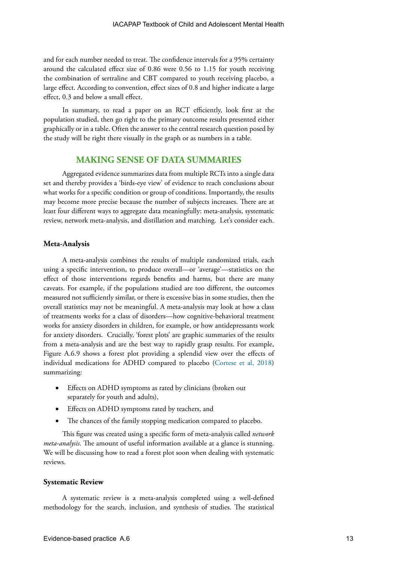and for each number needed to treat. The confidence intervals for a 95% certainty around the calculated effect size of 0.86 were 0.56 to 1.15 for youth receiving the combination of sertraline and CBT compared to youth receiving placebo, a large effect. According to convention, effect sizes of 0.8 and higher indicate a large effect, 0.3 and below a small effect.

In summary, to read a paper on an RCT efficiently, look first at the population studied, then go right to the primary outcome results presented either graphically or in a table. Often the answer to the central research question posed by the study will be right there visually in the graph or as numbers in a table.

## **MAKING SENSE OF DATA SUMMARIES**

Aggregated evidence summarizes data from multiple RCTs into a single data set and thereby provides a 'birds-eye view' of evidence to reach conclusions about what works for a specific condition or group of conditions. Importantly, the results may become more precise because the number of subjects increases. There are at least four different ways to aggregate data meaningfully: meta-analysis, systematic review, network meta-analysis, and distillation and matching. Let's consider each.

#### **Meta-Analysis**

A meta-analysis combines the results of multiple randomized trials, each using a specific intervention, to produce overall—or 'average'—statistics on the effect of those interventions regards benefits and harms, but there are many caveats. For example, if the populations studied are too different, the outcomes measured not sufficiently similar, or there is excessive bias in some studies, then the overall statistics may not be meaningful. A meta-analysis may look at how a class of treatments works for a class of disorders—how cognitive-behavioral treatment works for anxiety disorders in children, for example, or how antidepressants work for anxiety disorders. Crucially, 'forest plots' are graphic summaries of the results from a meta-analysis and are the best way to rapidly grasp results. For example, Figure A.6.9 shows a forest plot providing a splendid view over the effects of individual medications for ADHD compared to placebo [\(Cortese et al, 2018\)](https://www.thelancet.com/journals/lanpsy/article/PIIS2215-0366(18)30269-4/fulltext) summarizing:

- Effects on ADHD symptoms as rated by clinicians (broken out separately for youth and adults),
- Effects on ADHD symptoms rated by teachers, and
- The chances of the family stopping medication compared to placebo.

This figure was created using a specific form of meta-analysis called *network meta-analysis*. The amount of useful information available at a glance is stunning. We will be discussing how to read a forest plot soon when dealing with systematic reviews.

#### **Systematic Review**

A systematic review is a meta-analysis completed using a well-defined methodology for the search, inclusion, and synthesis of studies. The statistical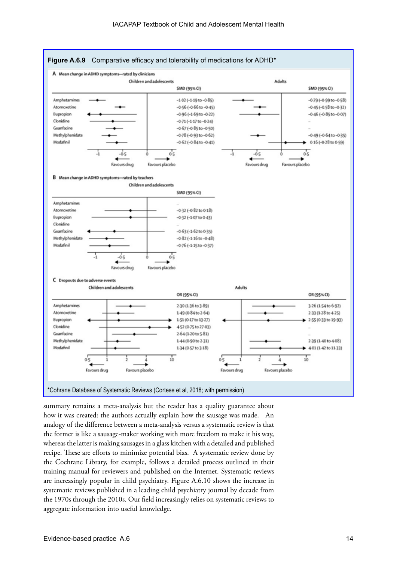

summary remains a meta-analysis but the reader has a quality guarantee about how it was created: the authors actually explain how the sausage was made. An analogy of the difference between a meta-analysis versus a systematic review is that the former is like a sausage-maker working with more freedom to make it his way, whereas the latter is making sausages in a glass kitchen with a detailed and published recipe. These are efforts to minimize potential bias. A systematic review done by the Cochrane Library, for example, follows a detailed process outlined in their training manual for reviewers and published on the Internet. Systematic reviews are increasingly popular in child psychiatry. Figure A.6.10 shows the increase in systematic reviews published in a leading child psychiatry journal by decade from the 1970s through the 2010s. Our field increasingly relies on systematic reviews to aggregate information into useful knowledge.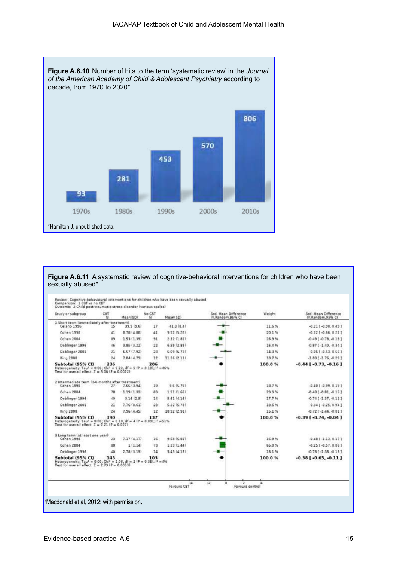

**Figure A.6.11** A systematic review of cognitive-behavioral interventions for children who have been sexually abused\*

| Study or subgroup                                                                                                                                                                | CBT<br>$^{14}$ | Mean(SD)    | No.CBT<br>Ń. | Mean(SD)     | Std. Mean Difference<br>IV.Random 95% CI | Weight | Std. Mean Difference<br>IV.Random.95% CI |
|----------------------------------------------------------------------------------------------------------------------------------------------------------------------------------|----------------|-------------|--------------|--------------|------------------------------------------|--------|------------------------------------------|
| 1 Short term limmediately after treatment?<br>Celano 1996                                                                                                                        | 15             | 39.9 (9.6)  | 17           | 41.0(0.4)    |                                          | 11.6%  | $-0.21$ ( $-0.90$ , $0.49$ )             |
| Cohen 1998                                                                                                                                                                       | 41             | 8.78 (4.88) | 41           | 9.92(5.28)   |                                          | 20.1%  | $-0.22$ $[-0.66, 0.21]$                  |
| Cohen 2004                                                                                                                                                                       | 89             | 1.53 (1.39) | 91           | 2.32(1.81)   |                                          | 26.9%  | $-0.49$ [ $-0.78$ , $-0.19$ ]            |
| Deblinger 1996                                                                                                                                                                   | 46             | 3.85(3.22)  | 22           | 6.59(2.89)   |                                          | 16.4%  | $-0.87$ [ $-1.40$ , $-0.34$ ]            |
| Deblinger 2001                                                                                                                                                                   | 21             | 6.57(7.92)  | 23           | 6.03(6.73)   |                                          | 14.3%  | $0.061 - 0.53, 0.661$                    |
| King 2000                                                                                                                                                                        | 24             | 7.04 (4.79) | 12           | 11 36 (2.11) |                                          | 10.7%  | $-1.03$ $[-1.76, -0.29]$                 |
| Subtotal (95% CI)<br>Heterogeneity: Tau <sup>z</sup> = 0.05; Chi <sup>2</sup> = 9.22, df = 5 (P = 0.10); i <sup>2</sup> = 46%<br>Test for overall effect: $7 = 3.061P = 0.00221$ | 236            |             | 206          |              |                                          | 100.0% | $-0.44$ [ $-0.73$ , $-0.16$ ]            |
| 2 Intermediate term (3-6 months after treatment)<br>Cohen 1998                                                                                                                   | 27             | 7.66 (3.94) | 19           | 9.6(5.79)    |                                          | 10.7%  | $-0.401 - 0.99, 0.191$                   |
| Cohen 2004                                                                                                                                                                       | 78             | 1.19 (1.33) | 69           | 191(166)     |                                          | 29.9%  | $-0.48$ [ $-0.81$ , $-0.15$ ]            |
| Deblinger 1996                                                                                                                                                                   | 40             | 3.16(2.9)   | 14           | 5.61(4.16)   |                                          | 17.7%  | $-0.74$ [ $-1.37$ , $-0.11$ ]            |
| Deblinger 2001                                                                                                                                                                   | 21             | 7.76(8.61)  | 23           | 5.22(5.78)   |                                          | 18.6%  | $0.34$ [ $-0.25$ , $0.94$ ]              |
| King 2000                                                                                                                                                                        | 24             | 7.96(4.45)  | 12           | 10.92 (2.91) |                                          | 15.1%  | $-0.721 - 1.44 - 0.011$                  |
| Subtotal (95% CI)<br>Heterogeneity: Tau! = 0.00; Chi! = 0.10, df = 4 (P = 0.09); il = 51%<br>Test for overall effect: $2 = 2.21$ (P = 0.027)                                     | 190            |             | 137          |              |                                          | 100.0% | $-0.39$ [ $-0.74, -0.04$ ]               |
| 3 Long term (at least one year)<br>Cohen 1998                                                                                                                                    | 23             | 7.17 (4.17) | 16           | 9.58(5.81)   |                                          | 16.9%  | $0.481 - 1.13, 0.171$                    |
| Cohen 2004                                                                                                                                                                       | 90             | 1(1.14)     | 73.          | 1.33(1.44)   |                                          | 65.0%  | $-0.251 - 0.57, 0.061$                   |
| Deblinger 1996                                                                                                                                                                   | 40             | 2,78 (3,19) | 14           | 5.43 (4.15)  |                                          | 18.1%  | $-0.76$ $-1.38$ $-0.13$ $1$              |
| Subtotal (95% CI)<br>Heterogeneity: Tau <sup>2</sup> = 0.00; Chi <sup>2</sup> = 2.08, df = 2 fP = 0.35); P = 4%<br>Test for overall effect. $Z = 2.79$ ( $P = 0.0053$ )          | 143            |             | 103          |              |                                          | 100.0% | $-0.38$ [ $-0.65, -0.11$ ]               |
|                                                                                                                                                                                  |                |             |              | ۰ã           | o<br>ż<br>÷Z                             | 4      |                                          |

\*Macdonald et al, 2012; with permission.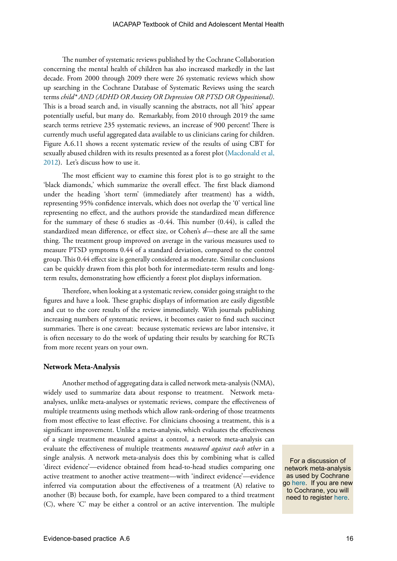The number of systematic reviews published by the Cochrane Collaboration concerning the mental health of children has also increased markedly in the last decade. From 2000 through 2009 there were 26 systematic reviews which show up searching in the Cochrane Database of Systematic Reviews using the search terms *child\* AND (ADHD OR Anxiety OR Depression OR PTSD OR Oppositional)*. This is a broad search and, in visually scanning the abstracts, not all 'hits' appear potentially useful, but many do. Remarkably, from 2010 through 2019 the same search terms retrieve 235 systematic reviews, an increase of 900 percent! There is currently much useful aggregated data available to us clinicians caring for children. Figure A.6.11 shows a recent systematic review of the results of using CBT for sexually abused children with its results presented as a forest plot [\(Macdonald et al,](https://www.cochranelibrary.com/cdsr/doi/10.1002/14651858.CD001930.pub3/full)  [2012](https://www.cochranelibrary.com/cdsr/doi/10.1002/14651858.CD001930.pub3/full)). Let's discuss how to use it.

The most efficient way to examine this forest plot is to go straight to the 'black diamonds,' which summarize the overall effect. The first black diamond under the heading 'short term' (immediately after treatment) has a width, representing 95% confidence intervals, which does not overlap the '0' vertical line representing no effect, and the authors provide the standardized mean difference for the summary of these 6 studies as -0.44. This number (0.44), is called the standardized mean difference, or effect size, or Cohen's *d*—these are all the same thing. The treatment group improved on average in the various measures used to measure PTSD symptoms 0.44 of a standard deviation, compared to the control group. This 0.44 effect size is generally considered as moderate. Similar conclusions can be quickly drawn from this plot both for intermediate-term results and longterm results, demonstrating how efficiently a forest plot displays information.

Therefore, when looking at a systematic review, consider going straight to the figures and have a look. These graphic displays of information are easily digestible and cut to the core results of the review immediately. With journals publishing increasing numbers of systematic reviews, it becomes easier to find such succinct summaries. There is one caveat: because systematic reviews are labor intensive, it is often necessary to do the work of updating their results by searching for RCTs from more recent years on your own.

#### **Network Meta-Analysis**

Another method of aggregating data is called network meta-analysis (NMA), widely used to summarize data about response to treatment.Network metaanalyses, unlike meta-analyses or systematic reviews, compare the effectiveness of multiple treatments using methods which allow rank-ordering of those treatments from most effective to least effective. For clinicians choosing a treatment, this is a significant improvement. Unlike a meta-analysis, which evaluates the effectiveness of a single treatment measured against a control, a network meta-analysis can evaluate the effectiveness of multiple treatments *measured against each other* in a single analysis. A network meta-analysis does this by combining what is called 'direct evidence'—evidence obtained from head-to-head studies comparing one active treatment to another active treatment—with 'indirect evidence'—evidence inferred via computation about the effectiveness of a treatment (A) relative to another (B) because both, for example, have been compared to a third treatment (C), where 'C' may be either a control or an active intervention*.* The multiple

For a discussion of network meta-analysis as used by Cochrane go [here](https://training.cochrane.org/online-learning/cochrane-methodology/network-meta-analysis-nma). If you are new to Cochrane, you will need to register [here](https://login.cochrane.org/auth/realms/cochrane/login-actions/registration?client_id=cochrane_org&tab_id=VAg__nB_154).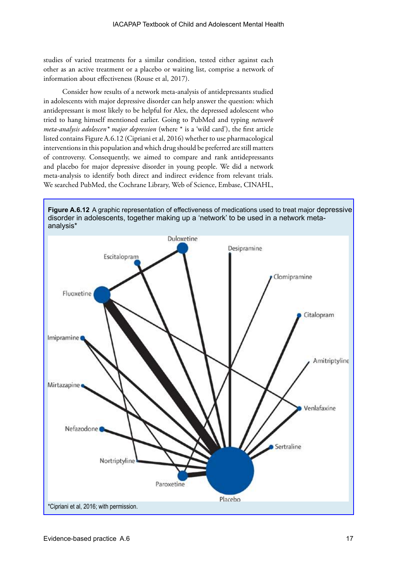studies of varied treatments for a similar condition, tested either against each other as an active treatment or a placebo or waiting list, comprise a network of information about effectiveness (Rouse et al, 2017).

Consider how results of a network meta-analysis of antidepressants studied in adolescents with major depressive disorder can help answer the question: which antidepressant is most likely to be helpful for Alex, the depressed adolescent who tried to hang himself mentioned earlier. Going to PubMed and typing *network meta-analysis adolescen\* major depression* (where \* is a 'wild card'), the first article listed contains Figure A.6.12 (Cipriani et al, 2016) whether to use pharmacological interventions in this population and which drug should be preferred are still matters of controversy. Consequently, we aimed to compare and rank antidepressants and placebo for major depressive disorder in young people. We did a network meta-analysis to identify both direct and indirect evidence from relevant trials. We searched PubMed, the Cochrane Library, Web of Science, Embase, CINAHL,



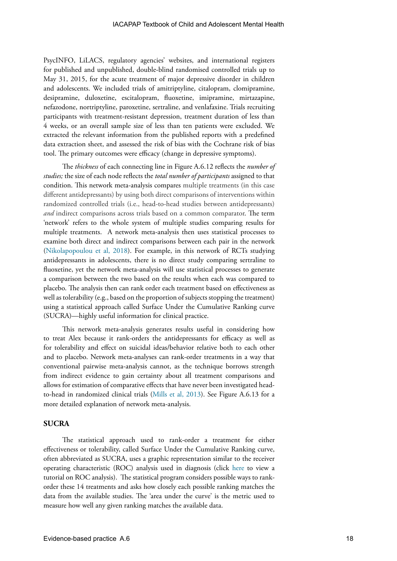PsycINFO, LiLACS, regulatory agencies' websites, and international registers for published and unpublished, double-blind randomised controlled trials up to May 31, 2015, for the acute treatment of major depressive disorder in children and adolescents. We included trials of amitriptyline, citalopram, clomipramine, desipramine, duloxetine, escitalopram, fluoxetine, imipramine, mirtazapine, nefazodone, nortriptyline, paroxetine, sertraline, and venlafaxine. Trials recruiting participants with treatment-resistant depression, treatment duration of less than 4 weeks, or an overall sample size of less than ten patients were excluded. We extracted the relevant information from the published reports with a predefined data extraction sheet, and assessed the risk of bias with the Cochrane risk of bias tool. The primary outcomes were efficacy (change in depressive symptoms).

The *thickness* of each connecting line in Figure A.6.12 reflects the *number of studies;* the size of each node reflects the *total number of participants* assigned to that condition. This network meta-analysis compares multiple treatments (in this case different antidepressants) by using both direct comparisons of interventions within randomized controlled trials (i.e., head-to-head studies between antidepressants) *and* indirect comparisons across trials based on a common comparator. The term 'network' refers to the whole system of multiple studies comparing results for multiple treatments. A network meta-analysis then uses statistical processes to examine both direct and indirect comparisons between each pair in the network ([Nikolapopoulou et al, 2018](https://www.bmj.com/content/360/bmj.k585)). For example, in this network of RCTs studying antidepressants in adolescents, there is no direct study comparing sertraline to fluoxetine, yet the network meta-analysis will use statistical processes to generate a comparison between the two based on the results when each was compared to placebo. The analysis then can rank order each treatment based on effectiveness as well as tolerability (e.g., based on the proportion of subjects stopping the treatment) using a statistical approach called Surface Under the Cumulative Ranking curve (SUCRA)—highly useful information for clinical practice.

This network meta-analysis generates results useful in considering how to treat Alex because it rank-orders the antidepressants for efficacy as well as for tolerability and effect on suicidal ideas/behavior relative both to each other and to placebo. Network meta-analyses can rank-order treatments in a way that conventional pairwise meta-analysis cannot, as the technique borrows strength from indirect evidence to gain certainty about all treatment comparisons and allows for estimation of comparative effects that have never been investigated headto-head in randomized clinical trials ([Mills et al, 2013](https://www.bmj.com/content/346/bmj.f2914)). See Figure A.6.13 for a more detailed explanation of network meta-analysis.

#### **SUCRA**

The statistical approach used to rank-order a treatment for either effectiveness or tolerability, called Surface Under the Cumulative Ranking curve, often abbreviated as SUCRA, uses a graphic representation similar to the receiver operating characteristic (ROC) analysis used in diagnosis (click [here](https://www.youtube.com/watch?v=OAl6eAyP-yo) to view a tutorial on ROC analysis). The statistical program considers possible ways to rankorder these 14 treatments and asks how closely each possible ranking matches the data from the available studies. The 'area under the curve' is the metric used to measure how well any given ranking matches the available data.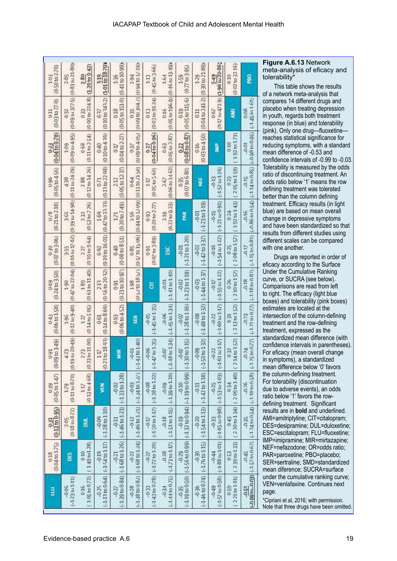| $(0.50 \text{ to } 2.70)$<br>1.03 | $(0.83 \text{ to } 21.80)$<br>2.85    | (1.20 to 9.42)<br>2.80               | $(1.01 \text{ to } 18.70)$<br>219  | $(0.41 \text{ to } 10.99)$<br>1.36 | (0.94 to 1/19)<br>2.94                                        | 045to3-66<br>$\mathbb{E}$         | 1.64                               | $(0.77 \text{ to } 3.95)$<br>1.59 | $(0.30 \text{ to } 21.89)$<br>129 | (1.96 to 20-86)<br>549                | 002 to 32 16<br>010          | <b>BB</b>                                                        |
|-----------------------------------|---------------------------------------|--------------------------------------|------------------------------------|------------------------------------|---------------------------------------------------------------|-----------------------------------|------------------------------------|-----------------------------------|-----------------------------------|---------------------------------------|------------------------------|------------------------------------------------------------------|
| $(0.03 \text{ to } 77.0)$         | $(0.09 \text{ to } 377.5)$            | (000 to 2248)                        | $(0.10$ to $3.43.2)$               | (0.05 to 151.0)                    | (0-09 to 304-7)                                               | $(0.03 \text{ to } 91.24)$        | (0.05 to 196.9) (0.46 to 13.49)    | (0.05 to 115.6)                   | $(0.04 \text{ to } 241.2)$        | 0-17 to 471.9)                        | Ę                            | $(-1.45 \text{ to } 1.61)$                                       |
| 611                               | 0.32                                  | 033                                  | 037                                | 0.18                               | 0.35                                                          | 0.13                              | 0.16                               | 0.19                              | 0.11                              | 0.67                                  |                              | 0.08                                                             |
| (0.04 to 0.78)                    | $(0.09 \text{ m}4.95)$                | (011 to 254)                         | (0.10 to 4.39)                     | $(0.04$ to $2.27$                  | $(UU)$ to $4U_2$ )                                            | (0.04 to 0.96)                    | $(0.05$ to $2.87)$                 | (0.08 to 0.87)                    | 0.03 to 4.50)                     | â                                     | 192 to 171                   | $(-0.98 \text{ to } 0.95)$                                       |
| 0-23                              | 1.09                                  | 068                                  | 0.40                               | QT <sub>1</sub>                    | 0.37                                                          | 0.27                              | 0.63                               | 0.22                              | 0.16                              |                                       | 0.10                         | <b>49.01</b>                                                     |
| (0.05 to 4.5b)                    | $(0.11 \text{ to } 24.29)$            | (012 to 1426)                        | $(0.13$ to $22.98$ )               | $(0.05 \text{ to } 12.37)$         | INS-17 on IT (b) I (60-71 on the 0) I (9) F(0) II (0) T(0) II | (0.05 to 560)                     | $(0.06 \text{ to } 14.62)$         | $0.07$ to $6.80$ )                | 늹                                 | $(-1.52 \text{ to } 1.26)$            | 205 to 159)                  | $(-1.14 \text{ to } 0.85)$                                       |
| 0.96                              | 438                                   | 288                                  | 671                                | 2.12                               | 0-64                                                          | 117                               | 2.67                               | 035                               |                                   | $-0.13$                               | 023                          | $-0.15$                                                          |
| (0.21 to 2.18)<br>0-18            | $(0.39 \text{ to } 14.96)$<br>3-61    | (053 to 726)<br>232                  | $(0.47$ to $13.33$<br>1.69         | $(0.20 \text{ to } 749)$<br>171    | 1.56                                                          | $(0.20 \text{ to } 2.77)$<br>0.93 | (0.22 to 9.23)<br>2.10             | PAR                               | $-1.23$ to $1.19$<br>$-0.01$      | $(-1.21 \text{ to } 0.91)$<br>$-0.15$ | 192 to 143)<br>0.24          | $(-1.15 \text{ to } 0.81)$ $(-0.86 \text{ to } 0.54)$<br>$-0.16$ |
| $(0.07 \text{ to } 3.06)$<br>0.30 | $(0.16 \text{ to } 17.62)$<br>3-55    | (010 to 9.64)<br>227                 | $(0.19 \text{ to } 16.01)$<br>0.92 | (0.08 to 8.51)<br>040              | 0.85                                                          | $(0.07 \text{ to } 3.89)$<br>0.91 | ¥                                  | $-1.21$ to $1.20$<br>$-0.01$      | $-142$ to $137$<br>$-0.02$        | $(-1.54 \text{ to } 1.22)$<br>$-0.16$ | $208 \text{ to } 15$<br>0.25 | $-0.17$                                                          |
| $(0.24 \text{ to } 3.50)$         | $(0.47 \text{ to } 22.04)$            | (061 to 11.49)                       | (0.56 to 20.22)                    | $(0.23 \text{ to } 10.97)$         | (/5310175/)                                                   | ā                                 | $-1.41$ to $1.40$                  | $(-1.23 \text{ to } 1.19)$        | $-1.44 \text{ to } 1.7$           | $-155$ to $1-22$                      | 210 to 157                   | $(-1.18 \text{ m} 0.87)$                                         |
| 0-69                              | 1.90                                  | 180                                  | 213                                | 0.91                               | 1.98                                                          |                                   | -0.01                              | $-0.02$                           | -0-03                             | $-0.17$                               | 026                          | $-0.18$                                                          |
| $(0.06 \text{ to } 1.58)$         | $(0.12 \text{ to } 9.40)$             | (014 to 505)                         | $(0.14 \text{ to } 8.69)$          | $0.06$ to $4.52$                   | ē                                                             | $-145$ to $1.35$                  | $(-1.45 to 1.34)$                  | $(-1.28 \text{ to } 1.16)$        | $(-1.48 to 1.32)$                 | $(-1.60 \text{ to } 1.17)$            | 213to152                     | $( -1.7110077)$                                                  |
| 0.43                              | 1.96                                  | 127                                  | 0-61                               | 0.93                               |                                                               | $-0.05$                           | -0.06                              | $-0.07$                           | $-0.08$                           | $-0.22$                               | $\frac{1}{2}$                | £c <sub>0</sub>                                                  |
| $(0.09 \text{ to } 3.49)$<br>0-91 | $(0.19 \text{ to } 20.49)$<br>423     | 11 00)<br>273<br>$(0.23 \text{ to }$ | 18.93)<br>$\Xi$<br>0.2310          | à.<br>ž                            | $(-1.43101.40)$<br>$-0.01$                                    | $(-14700135)$<br>$-0.06$          | $(1.48 \text{ to } 1.34)$<br>-0-07 | $(-1.30 to 1.15)$<br>-0.07        | $(-1.50 to 1.32)$<br>$-0.09$      | $(-1.61 \text{ to } 1.17)$<br>$-0.22$ | 214to 152)<br>032            | $(-1.75$ to 0.77)<br>$16.0 -$                                    |
| $(0.05 \text{ to } 1.47)$         | $(0.11 \text{ to } 8.70)$             | (013 to 468)                         | ğ                                  | $(-1.33 to 1.28)$                  | (7.4011)                                                      | $(-1.38$ to $1.22)$               | $(-1.39$ to $1.20)$                | (4.19 to 0.99)                    | $(-1.42 \text{ to } 1.18)$        | $(-1.53 \text{ to } 1.03)$            | 200 to 140)                  | $(-1.10 \text{ to } 0.58)$                                       |
| 0-39                              | $1 - 79$                              | 117                                  |                                    | $-0.02$                            | $-0.03$                                                       | $-0.08$                           | -0.09                              | $-0.10$                           | $-0.11$                           | $-0.25$                               | 034                          | $-0.76$                                                          |
| $(0.13 \text{ to } 0.95)$         | $(0.18 \text{ to } 8.72)$             | 틺                                    | $(-1.28 to 1.10)$                  | $(-1.46 \text{ to } 1.23)$         | $(-1.4601.21)$                                                | $(-15000117)$                     | $-1510115$                         | $(-13200094)$                     | $(-1.54 to 1.13)$                 | $(-1.65 \text{ to } 0.98)$            | 220 to 134)                  | $(-1.74 \text{ to } 0.54)$                                       |
| 0-31                              | 2.05                                  |                                      | -0.09                              | $-0.11$                            | $-0.12$                                                       | $-0.17$                           | $-0.18$                            | $-0.19$                           | $-0.20$                           | $-0.33$                               | 043                          | $-0.35$                                                          |
| (0.04 to 1.75)                    | <b>SB</b>                             | 149 to 128                           | (1.440117)                         | $(-1.68 \text{ to } 1.26)$         | $(-1.38$ to $0.82)$ $(-1.68$ to $1.24)$                       | $(-1,72$ to $1.20)$               | (173 to 117)                       | $(-1.56 to 0.99)$                 | $(-17600115)$                     | $(-1.88\text{ to }1.01)$              | 230 to 133)                  | (-0.99tn-0.03) (-1.57tn 0.67)                                    |
| 0.18                              |                                       | 010                                  | $-0.19$                            | $-0.21$                            | $-0.22$                                                       | $-0.27$                           | $-0.28$                            | -0.29                             | $-0.30$                           | $-0.44$                               | 053                          | $-0.45$                                                          |
| 昆                                 | $(-1.23 \text{ to } 1.11)$<br>$-0.06$ | $105 \text{ to } 072$<br>016         | $(-1.13 to 0.64)$<br>$-0.25$       | $(-1.39 to 0.84)$<br>$-0.27$       | $-0.28$                                                       | $(-1.43 to 0.78)$<br>$-0.33$      | $(-1.44 to 0.75)$<br>$160 -$       | $(-1.19 to 0.50)$<br>$-0.35$      | $-1.46$ to $0.74$ )<br>$-0.36$    | $(-1.57 \text{ to } 0.58)$<br>$-0.49$ | 221 to 101)<br>050           | $-0.51$                                                          |

**Figure A.6.13** Network meta-analysis of eficacy and tolerability\*

This table shows the results of a network meta-analysis that compares 14 different drugs and placebo when treating depression in youth, regards both treatment response (in blue) and tolerability (pink). Only one drug—fluoxetine reaches statistical significance for reducing symptoms, with a standard mean difference of -0.53 and confidence intervals of -0.99 to -0.03. Tolerability is measured by the odds ratio of discontinuing treatment. An odds ratio below '1' means the row defining treatment was tolerated better than the column defining treatment. Efficacy results (in light blue) are based on mean overall change in depressive symptoms and have been standardized so that results from different studies using different scales can be compared with one another.

Drugs are reported in order of eficacy according to the Surface Under the Cumulative Ranking curve, or SUCRA (see below). Comparisons are read from left to right. The efficacy (light blue boxes) and tolerability (pink boxes) estimates are located at the intersection of the column-defining treatment and the row-defining treatment, expressed as the standardized mean difference (with confidence intervals in parentheses). For eficacy (mean overall change in symptoms), a standardized mean difference below '0' favors the column-defining treatment. For tolerability (discontinuation due to adverse events), an odds ratio below '1' favors the rowdefining treatment. Significant results are in **bold** and underlined. AMI=amitriptyline; CIT=citalopram; DES=desipramine; DUL=duloxetine; ESC=escitalopram; FLU=fluoxetine; IMP=imipramine; MIR=mirtazapine; NEF=nefazodone; OR=odds ratio; PAR=paroxetine; PBO=placebo; SER=sertraline; SMD=standardized mean diference; SUCRA=surface under the cumulative ranking curve; VEN=venlafaxine. Continues next page.

\*Cipriani et al, 2016; with permission. Note that three drugs have been omitted.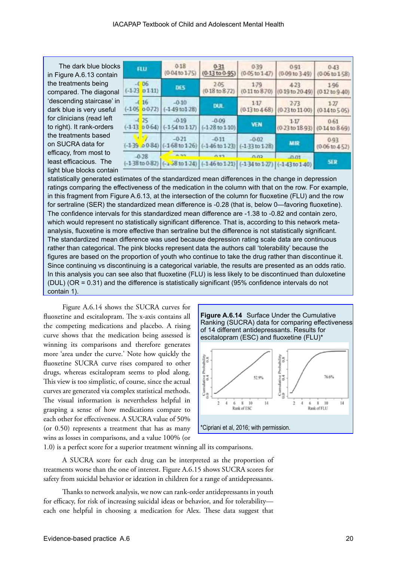The dark blue blocks in Figure A.6.13 contain the treatments being compared. The diagonal 'descending staircase' in dark blue is very useful for clinicians (read left to right). It rank-orders the treatments based on SUCRA data for efficacy, from most to least efficacious. The light blue blocks contain

| 3 | <b>FLU</b>                             |                               | 0.18<br>$(0.04$ to $1.75)$                                                                                                            | $0 - 31$<br>$(0.13 \text{ to } 0.95)$ | 0.39<br>$(0.05 \text{ to } 1.47)$   | 0.91<br>(0.09 to 3.49)                 | 0.43<br>$(0.06 \text{ to } 1.58)$   |  |
|---|----------------------------------------|-------------------------------|---------------------------------------------------------------------------------------------------------------------------------------|---------------------------------------|-------------------------------------|----------------------------------------|-------------------------------------|--|
|   |                                        | $-0.06$<br>$(-1.23)$ o $1.11$ | <b>DES</b>                                                                                                                            | 2.05<br>$(0.18 \text{ to } 8.72)$     | 1.79<br>(0.11 to 8.70)              | 4-23<br>(0.19 to 20.49)                | 1.96<br>$(0.12$ to $9.40)$          |  |
|   | 16<br>$\mathcal{L}$<br>$(-1.05 0.072)$ |                               | $-0.10$<br>$(-1.49 \text{ to } 1.28)$                                                                                                 | <b>DUL</b>                            | $1-17$<br>$(0.13 \text{ to } 4.68)$ | $2 - 73$<br>$(0.23 \text{ to } 11.00)$ | $1-27$<br>$(0.14$ to $5.05)$        |  |
|   | $\mathcal{A}$                          | 25                            | $-0.19$<br>$(-1.13 \ 0.064)$ $(-1.54 \text{ to } 1.17)$                                                                               | $-0.09$<br>$(-1.28$ to $1.10)$        | <b>VEN</b>                          | 1.17<br>$(0.23$ to $18.93)$            | $0-61$<br>$(0.14 \text{ to } 8.69)$ |  |
|   |                                        |                               | $-0.21$<br>$(-1.39 \cdot 0.084)$ $(-1.68 \text{ to } 1.26)$ $(-1.46 \text{ to } 1.23)$ $(-1.33 \text{ to } 1.28)$                     | $-0.11$                               | $-0.02$                             | MIR                                    | 0.93<br>$(0.06 \text{ to } 4.52)$   |  |
|   | $-0.28$                                |                               | $(-138 \text{ to } 0.82)$ $(-1.58 \text{ to } 1.24)$ $(-1.46 \text{ to } 1.21)$ $(-1.34 \text{ to } 1.27)$ $(-1.43 \text{ to } 1.40)$ |                                       | 0.02                                | 0.01                                   | <b>SER</b>                          |  |

statistically generated estimates of the standardized mean differences in the change in depression ratings comparing the effectiveness of the medication in the column with that on the row. For example, in this fragment from Figure A.6.13, at the intersection of the column for fluoxetine (FLU) and the row for sertraline (SER) the standardized mean difference is -0.28 (that is, below 0—favoring fluoxetine). The confidence intervals for this standardized mean difference are -1.38 to -0.82 and contain zero, which would represent no statistically significant difference. That is, according to this network metaanalysis, fluoxetine is more effective than sertraline but the difference is not statistically significant. The standardized mean difference was used because depression rating scale data are continuous rather than categorical. The pink blocks represent data the authors call 'tolerability' because the figures are based on the proportion of youth who continue to take the drug rather than discontinue it. Since continuing vs discontinuing is a categorical variable, the results are presented as an odds ratio. In this analysis you can see also that fluoxetine (FLU) is less likely to be discontinued than duloxetine (DUL) (OR = 0.31) and the difference is statistically significant (95% confidence intervals do not contain 1).

Figure A.6.14 shows the SUCRA curves for fluoxetine and escitalopram. The x-axis contains all the competing medications and placebo. A rising curve shows that the medication being assessed is winning its comparisons and therefore generates more 'area under the curve.' Note how quickly the fluoxetine SUCRA curve rises compared to other drugs, whereas escitalopram seems to plod along. This view is too simplistic, of course, since the actual curves are generated via complex statistical methods. The visual information is nevertheless helpful in grasping a sense of how medications compare to each other for effectiveness. A SUCRA value of 50% (or 0.50) represents a treatment that has as many wins as losses in comparisons, and a value 100% (or





1.0) is a perfect score for a superior treatment winning all its comparisons.

A SUCRA score for each drug can be interpreted as the proportion of treatments worse than the one of interest. Figure A.6.15 shows SUCRA scores for safety from suicidal behavior or ideation in children for a range of antidepressants.

Thanks to network analysis, we now can rank-order antidepressants in youth for efficacy, for risk of increasing suicidal ideas or behavior, and for tolerability each one helpful in choosing a medication for Alex. These data suggest that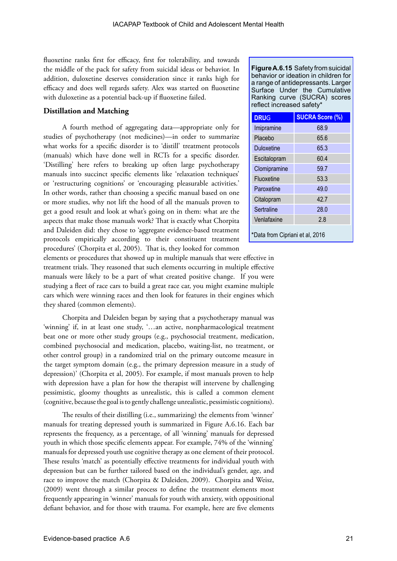fluoxetine ranks first for efficacy, first for tolerability, and towards the middle of the pack for safety from suicidal ideas or behavior. In addition, duloxetine deserves consideration since it ranks high for efficacy and does well regards safety. Alex was started on fluoxetine with duloxetine as a potential back-up if fluoxetine failed.

### **Distillation and Matching**

A fourth method of aggregating data—appropriate only for studies of psychotherapy (not medicines)—in order to summarize what works for a specific disorder is to 'distill' treatment protocols (manuals) which have done well in RCTs for a specific disorder. 'Distilling' here refers to breaking up often large psychotherapy manuals into succinct specific elements like 'relaxation techniques' or 'restructuring cognitions' or 'encouraging pleasurable activities.' In other words, rather than choosing a specific manual based on one or more studies, why not lift the hood of all the manuals proven to get a good result and look at what's going on in them: what are the aspects that make those manuals work? That is exactly what Chorpita and Daleiden did: they chose to 'aggregate evidence-based treatment protocols empirically according to their constituent treatment procedures' (Chorpita et al, 2005). That is, they looked for common **Figure A.6.15** Safety from suicidal behavior or ideation in children for a range of antidepressants. Larger Surface Under the Cumulative Ranking curve (SUCRA) scores reflect increased safety\*

| <b>DRUG</b>                     | <b>SUCRA Score (%)</b> |  |  |  |  |  |
|---------------------------------|------------------------|--|--|--|--|--|
| Imipramine                      | 68.9                   |  |  |  |  |  |
| Placebo                         | 65.6                   |  |  |  |  |  |
| Duloxetine                      | 65.3                   |  |  |  |  |  |
| Escitalopram                    | 60.4                   |  |  |  |  |  |
| Clomipramine                    | 59.7                   |  |  |  |  |  |
| Fluoxetine                      | 53.3                   |  |  |  |  |  |
| Paroxetine                      | 49.0                   |  |  |  |  |  |
| Citalopram                      | 42.7                   |  |  |  |  |  |
| Sertraline                      | 28.0                   |  |  |  |  |  |
| Venlafaxine                     | 2.8                    |  |  |  |  |  |
| *Data from Cipriani et al, 2016 |                        |  |  |  |  |  |

elements or procedures that showed up in multiple manuals that were effective in treatment trials. They reasoned that such elements occurring in multiple effective manuals were likely to be a part of what created positive change. If you were studying a fleet of race cars to build a great race car, you might examine multiple cars which were winning races and then look for features in their engines which they shared (common elements).

Chorpita and Daleiden began by saying that a psychotherapy manual was 'winning' if, in at least one study, '…an active, nonpharmacological treatment beat one or more other study groups (e.g., psychosocial treatment, medication, combined psychosocial and medication, placebo, waiting-list, no treatment, or other control group) in a randomized trial on the primary outcome measure in the target symptom domain (e.g., the primary depression measure in a study of depression)' (Chorpita et al, 2005). For example, if most manuals proven to help with depression have a plan for how the therapist will intervene by challenging pessimistic, gloomy thoughts as unrealistic, this is called a common element (cognitive, because the goal is to gently challenge unrealistic, pessimistic cognitions).

The results of their distilling (i.e., summarizing) the elements from 'winner' manuals for treating depressed youth is summarized in Figure A.6.16. Each bar represents the frequency, as a percentage, of all 'winning' manuals for depressed youth in which those specific elements appear. For example, 74% of the 'winning' manuals for depressed youth use cognitive therapy as one element of their protocol. These results 'match' as potentially effective treatments for individual youth with depression but can be further tailored based on the individual's gender, age, and race to improve the match (Chorpita & Daleiden, 2009). Chorpita and Weisz, (2009) went through a similar process to define the treatment elements most frequently appearing in 'winner' manuals for youth with anxiety, with oppositional defiant behavior, and for those with trauma. For example, here are five elements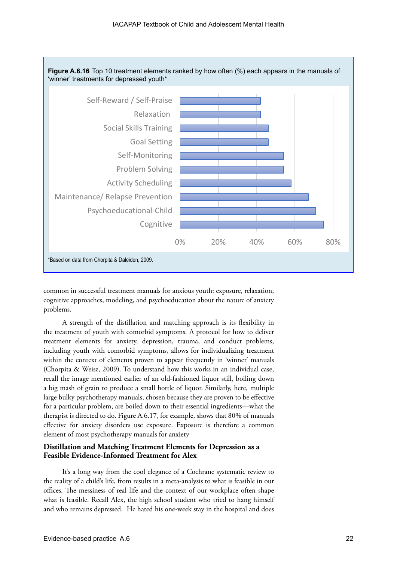

common in successful treatment manuals for anxious youth: exposure, relaxation, cognitive approaches, modeling, and psychoeducation about the nature of anxiety problems.

A strength of the distillation and matching approach is its flexibility in the treatment of youth with comorbid symptoms. A protocol for how to deliver treatment elements for anxiety, depression, trauma, and conduct problems, including youth with comorbid symptoms, allows for individualizing treatment within the context of elements proven to appear frequently in 'winner' manuals (Chorpita & Weisz, 2009). To understand how this works in an individual case, recall the image mentioned earlier of an old-fashioned liquor still, boiling down a big mash of grain to produce a small bottle of liquor. Similarly, here, multiple large bulky psychotherapy manuals, chosen because they are proven to be effective for a particular problem, are boiled down to their essential ingredients—what the therapist is directed to do. Figure A.6.17, for example, shows that 80% of manuals effective for anxiety disorders use exposure. Exposure is therefore a common element of most psychotherapy manuals for anxiety

#### **Distillation and Matching Treatment Elements for Depression as a Feasible Evidence-Informed Treatment for Alex**

It's a long way from the cool elegance of a Cochrane systematic review to the reality of a child's life, from results in a meta-analysis to what is feasible in our offices. The messiness of real life and the context of our workplace often shape what is feasible. Recall Alex, the high school student who tried to hang himself and who remains depressed. He hated his one-week stay in the hospital and does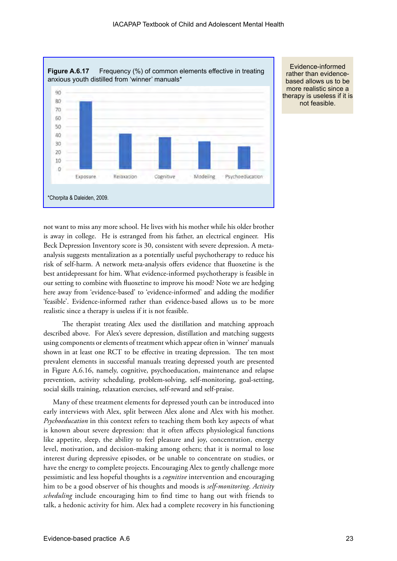

Evidence-informed rather than evidencebased allows us to be more realistic since a therapy is useless if it is not feasible.

not want to miss any more school. He lives with his mother while his older brother is away in college. He is estranged from his father, an electrical engineer. His Beck Depression Inventory score is 30, consistent with severe depression. A metaanalysis suggests mentalization as a potentially useful psychotherapy to reduce his risk of self-harm. A network meta-analysis offers evidence that fluoxetine is the best antidepressant for him. What evidence-informed psychotherapy is feasible in our setting to combine with fluoxetine to improve his mood? Note we are hedging here away from 'evidence-based' to 'evidence-informed' and adding the modifier 'feasible'. Evidence-informed rather than evidence-based allows us to be more realistic since a therapy is useless if it is not feasible.

The therapist treating Alex used the distillation and matching approach described above. For Alex's severe depression, distillation and matching suggests using components or elements of treatment which appear often in 'winner' manuals shown in at least one RCT to be effective in treating depression. The ten most prevalent elements in successful manuals treating depressed youth are presented in Figure A.6.16, namely, cognitive, psychoeducation, maintenance and relapse prevention, activity scheduling, problem-solving, self-monitoring, goal-setting, social skills training, relaxation exercises, self-reward and self-praise.

Many of these treatment elements for depressed youth can be introduced into early interviews with Alex, split between Alex alone and Alex with his mother. *Psychoeducation* in this context refers to teaching them both key aspects of what is known about severe depression: that it often affects physiological functions like appetite, sleep, the ability to feel pleasure and joy, concentration, energy level, motivation, and decision-making among others; that it is normal to lose interest during depressive episodes, or be unable to concentrate on studies, or have the energy to complete projects. Encouraging Alex to gently challenge more pessimistic and less hopeful thoughts is a *cognitive* intervention and encouraging him to be a good observer of his thoughts and moods is *self-monitoring*. *Activity scheduling* include encouraging him to find time to hang out with friends to talk, a hedonic activity for him. Alex had a complete recovery in his functioning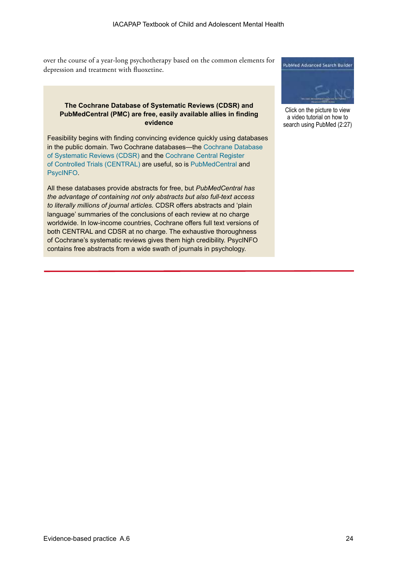over the course of a year-long psychotherapy based on the common elements for depression and treatment with fluoxetine.

### **The Cochrane Database of Systematic Reviews (CDSR) and PubMedCentral (PMC) are free, easily available allies in finding evidence**

Feasibility begins with finding convincing evidence quickly using databases in the public domain. Two Cochrane databases—the [Cochrane Database](https://www.cochranelibrary.com/cdsr/about-cdsr)  [of Systematic Reviews \(CDSR\)](https://www.cochranelibrary.com/cdsr/about-cdsr) and the [Cochrane Central Register](https://www.cochranelibrary.com/central/about-central)  [of Controlled Trials \(CENTRAL\)](https://www.cochranelibrary.com/central/about-central) are useful, so is [PubMedCentral](https://www.ncbi.nlm.nih.gov/pmc/) and [PsycINFO](https://www.apa.org/pubs/databases/audience/members-individuals).

All these databases provide abstracts for free, but *PubMedCentral has the advantage of containing not only abstracts but also full-text access to literally millions of journal articles.* CDSR offers abstracts and 'plain language' summaries of the conclusions of each review at no charge worldwide. In low-income countries, Cochrane offers full text versions of both CENTRAL and CDSR at no charge. The exhaustive thoroughness of Cochrane's systematic reviews gives them high credibility. PsycINFO contains free abstracts from a wide swath of journals in psychology.



Click on the picture to view a video tutorial on how to search using PubMed (2:27)